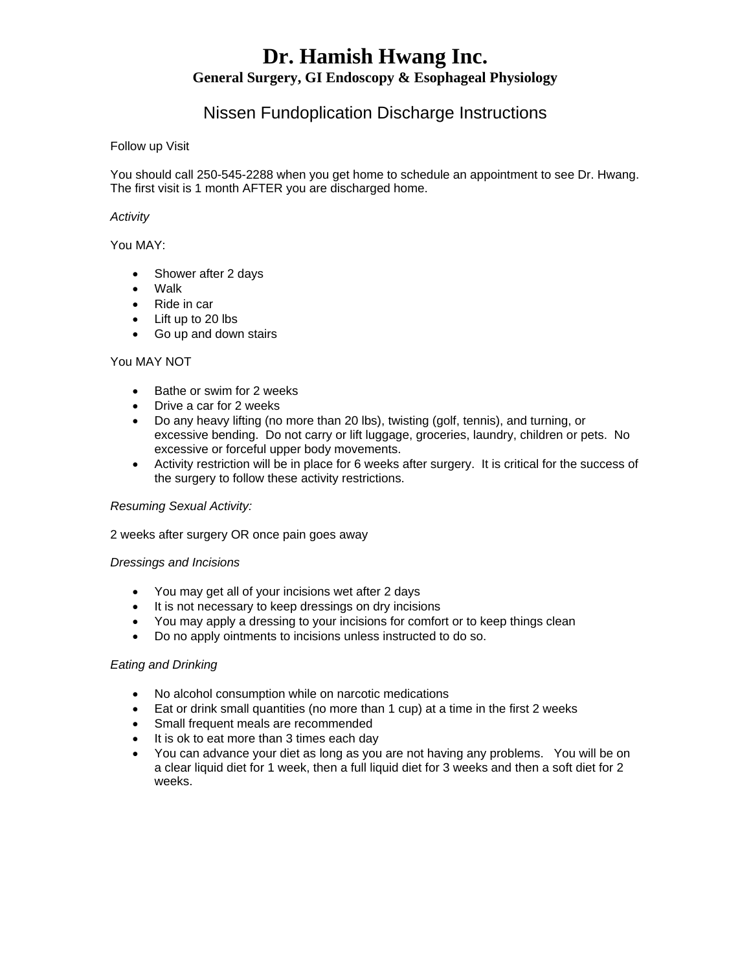# **Dr. Hamish Hwang Inc. General Surgery, GI Endoscopy & Esophageal Physiology**

# Nissen Fundoplication Discharge Instructions

#### Follow up Visit

You should call 250-545-2288 when you get home to schedule an appointment to see Dr. Hwang. The first visit is 1 month AFTER you are discharged home.

### *Activity*

You MAY:

- Shower after 2 days
- Walk
- Ride in car
- Lift up to 20 lbs
- Go up and down stairs

#### You MAY NOT

- Bathe or swim for 2 weeks
- Drive a car for 2 weeks
- Do any heavy lifting (no more than 20 lbs), twisting (golf, tennis), and turning, or excessive bending. Do not carry or lift luggage, groceries, laundry, children or pets. No excessive or forceful upper body movements.
- Activity restriction will be in place for 6 weeks after surgery. It is critical for the success of the surgery to follow these activity restrictions.

#### *Resuming Sexual Activity:*

2 weeks after surgery OR once pain goes away

#### *Dressings and Incisions*

- You may get all of your incisions wet after 2 days
- It is not necessary to keep dressings on dry incisions
- You may apply a dressing to your incisions for comfort or to keep things clean
- Do no apply ointments to incisions unless instructed to do so.

#### *Eating and Drinking*

- No alcohol consumption while on narcotic medications
- Eat or drink small quantities (no more than 1 cup) at a time in the first 2 weeks
- Small frequent meals are recommended
- It is ok to eat more than 3 times each day
- You can advance your diet as long as you are not having any problems. You will be on a clear liquid diet for 1 week, then a full liquid diet for 3 weeks and then a soft diet for 2 weeks.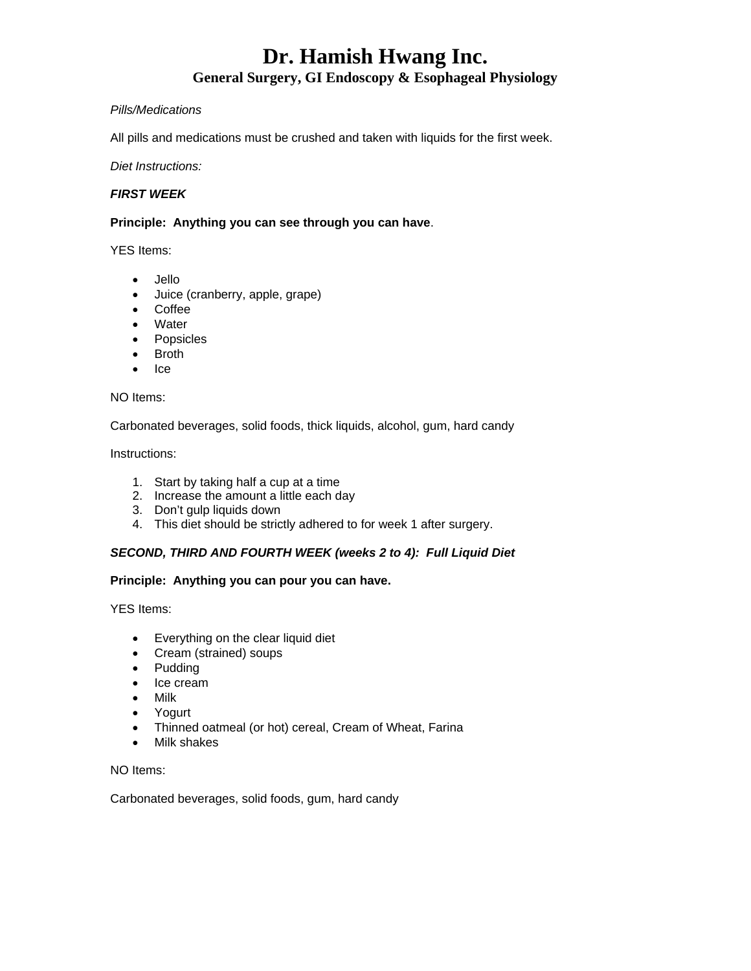# **Dr. Hamish Hwang Inc.**

# **General Surgery, GI Endoscopy & Esophageal Physiology**

# *Pills/Medications*

All pills and medications must be crushed and taken with liquids for the first week.

# *Diet Instructions:*

# *FIRST WEEK*

# **Principle: Anything you can see through you can have**.

YES Items:

- - Jello
	- Juice (cranberry, apple, grape)
	- Coffee
	- Water
	- Popsicles
	- Broth
	- $\bullet$  Ice

# NO Items:

Carbonated beverages, solid foods, thick liquids, alcohol, gum, hard candy

Instructions:

- 1. Start by taking half a cup at a time
- 2. Increase the amount a little each day
- 3. Don't gulp liquids down
- 4. This diet should be strictly adhered to for week 1 after surgery.

# *SECOND, THIRD AND FOURTH WEEK (weeks 2 to 4): Full Liquid Diet*

# **Principle: Anything you can pour you can have.**

YES Items:

- Everything on the clear liquid diet
- Cream (strained) soups
- Pudding
- Ice cream
- Milk
- Yogurt
- Thinned oatmeal (or hot) cereal, Cream of Wheat, Farina
- Milk shakes

NO Items:

Carbonated beverages, solid foods, gum, hard candy